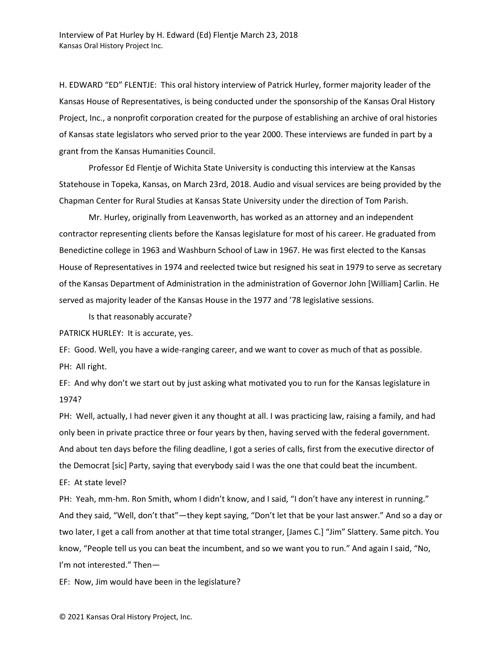H. EDWARD "ED" FLENTJE: This oral history interview of Patrick Hurley, former majority leader of the Kansas House of Representatives, is being conducted under the sponsorship of the Kansas Oral History Project, Inc., a nonprofit corporation created for the purpose of establishing an archive of oral histories of Kansas state legislators who served prior to the year 2000. These interviews are funded in part by a grant from the Kansas Humanities Council.

Professor Ed Flentje of Wichita State University is conducting this interview at the Kansas Statehouse in Topeka, Kansas, on March 23rd, 2018. Audio and visual services are being provided by the Chapman Center for Rural Studies at Kansas State University under the direction of Tom Parish.

Mr. Hurley, originally from Leavenworth, has worked as an attorney and an independent contractor representing clients before the Kansas legislature for most of his career. He graduated from Benedictine college in 1963 and Washburn School of Law in 1967. He was first elected to the Kansas House of Representatives in 1974 and reelected twice but resigned his seat in 1979 to serve as secretary of the Kansas Department of Administration in the administration of Governor John [William] Carlin. He served as majority leader of the Kansas House in the 1977 and '78 legislative sessions.

Is that reasonably accurate?

PATRICK HURLEY: It is accurate, yes.

EF: Good. Well, you have a wide-ranging career, and we want to cover as much of that as possible. PH: All right.

EF: And why don't we start out by just asking what motivated you to run for the Kansas legislature in 1974?

PH: Well, actually, I had never given it any thought at all. I was practicing law, raising a family, and had only been in private practice three or four years by then, having served with the federal government. And about ten days before the filing deadline, I got a series of calls, first from the executive director of the Democrat [sic] Party, saying that everybody said I was the one that could beat the incumbent.

EF: At state level?

PH: Yeah, mm-hm. Ron Smith, whom I didn't know, and I said, "I don't have any interest in running." And they said, "Well, don't that"—they kept saying, "Don't let that be your last answer." And so a day or two later, I get a call from another at that time total stranger, [James C.] "Jim" Slattery. Same pitch. You know, "People tell us you can beat the incumbent, and so we want you to run." And again I said, "No, I'm not interested." Then—

EF: Now, Jim would have been in the legislature?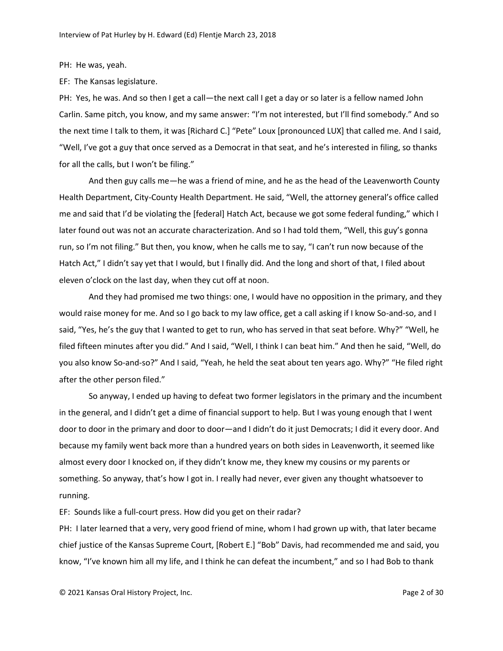PH: He was, yeah.

EF: The Kansas legislature.

PH: Yes, he was. And so then I get a call—the next call I get a day or so later is a fellow named John Carlin. Same pitch, you know, and my same answer: "I'm not interested, but I'll find somebody." And so the next time I talk to them, it was [Richard C.] "Pete" Loux [pronounced LUX] that called me. And I said, "Well, I've got a guy that once served as a Democrat in that seat, and he's interested in filing, so thanks for all the calls, but I won't be filing."

And then guy calls me—he was a friend of mine, and he as the head of the Leavenworth County Health Department, City-County Health Department. He said, "Well, the attorney general's office called me and said that I'd be violating the [federal] Hatch Act, because we got some federal funding," which I later found out was not an accurate characterization. And so I had told them, "Well, this guy's gonna run, so I'm not filing." But then, you know, when he calls me to say, "I can't run now because of the Hatch Act," I didn't say yet that I would, but I finally did. And the long and short of that, I filed about eleven o'clock on the last day, when they cut off at noon.

And they had promised me two things: one, I would have no opposition in the primary, and they would raise money for me. And so I go back to my law office, get a call asking if I know So-and-so, and I said, "Yes, he's the guy that I wanted to get to run, who has served in that seat before. Why?" "Well, he filed fifteen minutes after you did." And I said, "Well, I think I can beat him." And then he said, "Well, do you also know So-and-so?" And I said, "Yeah, he held the seat about ten years ago. Why?" "He filed right after the other person filed."

So anyway, I ended up having to defeat two former legislators in the primary and the incumbent in the general, and I didn't get a dime of financial support to help. But I was young enough that I went door to door in the primary and door to door—and I didn't do it just Democrats; I did it every door. And because my family went back more than a hundred years on both sides in Leavenworth, it seemed like almost every door I knocked on, if they didn't know me, they knew my cousins or my parents or something. So anyway, that's how I got in. I really had never, ever given any thought whatsoever to running.

EF: Sounds like a full-court press. How did you get on their radar?

PH: I later learned that a very, very good friend of mine, whom I had grown up with, that later became chief justice of the Kansas Supreme Court, [Robert E.] "Bob" Davis, had recommended me and said, you know, "I've known him all my life, and I think he can defeat the incumbent," and so I had Bob to thank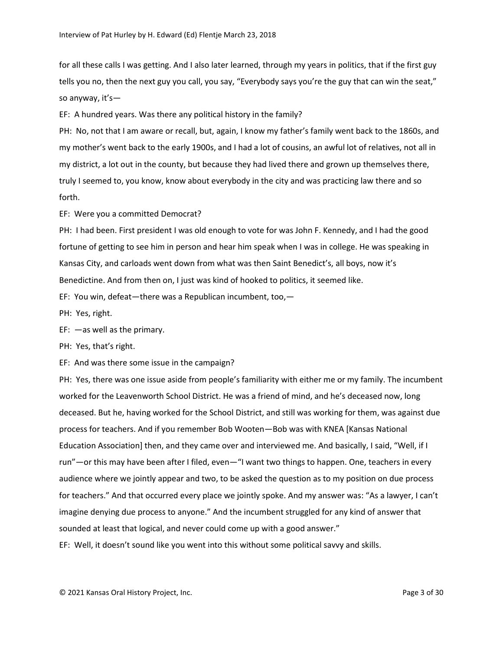for all these calls I was getting. And I also later learned, through my years in politics, that if the first guy tells you no, then the next guy you call, you say, "Everybody says you're the guy that can win the seat," so anyway, it's—

EF: A hundred years. Was there any political history in the family?

PH: No, not that I am aware or recall, but, again, I know my father's family went back to the 1860s, and my mother's went back to the early 1900s, and I had a lot of cousins, an awful lot of relatives, not all in my district, a lot out in the county, but because they had lived there and grown up themselves there, truly I seemed to, you know, know about everybody in the city and was practicing law there and so forth.

EF: Were you a committed Democrat?

PH: I had been. First president I was old enough to vote for was John F. Kennedy, and I had the good fortune of getting to see him in person and hear him speak when I was in college. He was speaking in Kansas City, and carloads went down from what was then Saint Benedict's, all boys, now it's Benedictine. And from then on, I just was kind of hooked to politics, it seemed like.

EF: You win, defeat—there was a Republican incumbent, too,—

PH: Yes, right.

EF: —as well as the primary.

PH: Yes, that's right.

EF: And was there some issue in the campaign?

PH: Yes, there was one issue aside from people's familiarity with either me or my family. The incumbent worked for the Leavenworth School District. He was a friend of mind, and he's deceased now, long deceased. But he, having worked for the School District, and still was working for them, was against due process for teachers. And if you remember Bob Wooten—Bob was with KNEA [Kansas National Education Association] then, and they came over and interviewed me. And basically, I said, "Well, if I run"—or this may have been after I filed, even—"I want two things to happen. One, teachers in every audience where we jointly appear and two, to be asked the question as to my position on due process for teachers." And that occurred every place we jointly spoke. And my answer was: "As a lawyer, I can't imagine denying due process to anyone." And the incumbent struggled for any kind of answer that sounded at least that logical, and never could come up with a good answer."

EF: Well, it doesn't sound like you went into this without some political savvy and skills.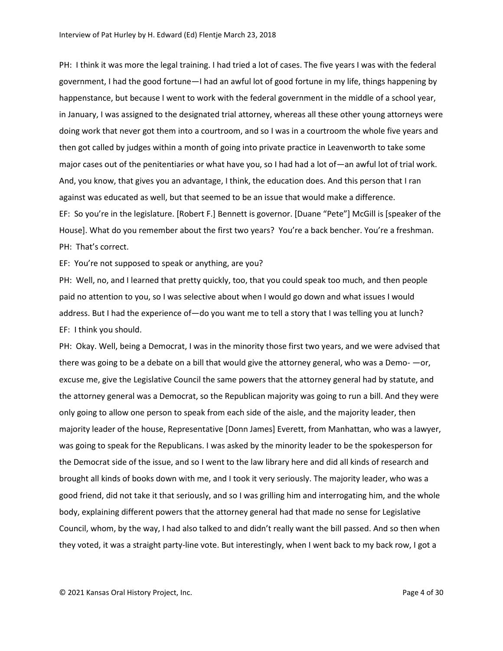PH: I think it was more the legal training. I had tried a lot of cases. The five years I was with the federal government, I had the good fortune—I had an awful lot of good fortune in my life, things happening by happenstance, but because I went to work with the federal government in the middle of a school year, in January, I was assigned to the designated trial attorney, whereas all these other young attorneys were doing work that never got them into a courtroom, and so I was in a courtroom the whole five years and then got called by judges within a month of going into private practice in Leavenworth to take some major cases out of the penitentiaries or what have you, so I had had a lot of—an awful lot of trial work. And, you know, that gives you an advantage, I think, the education does. And this person that I ran against was educated as well, but that seemed to be an issue that would make a difference. EF: So you're in the legislature. [Robert F.] Bennett is governor. [Duane "Pete"] McGill is [speaker of the House]. What do you remember about the first two years? You're a back bencher. You're a freshman. PH: That's correct.

EF: You're not supposed to speak or anything, are you?

PH: Well, no, and I learned that pretty quickly, too, that you could speak too much, and then people paid no attention to you, so I was selective about when I would go down and what issues I would address. But I had the experience of — do you want me to tell a story that I was telling you at lunch? EF: I think you should.

PH: Okay. Well, being a Democrat, I was in the minority those first two years, and we were advised that there was going to be a debate on a bill that would give the attorney general, who was a Demo- —or, excuse me, give the Legislative Council the same powers that the attorney general had by statute, and the attorney general was a Democrat, so the Republican majority was going to run a bill. And they were only going to allow one person to speak from each side of the aisle, and the majority leader, then majority leader of the house, Representative [Donn James] Everett, from Manhattan, who was a lawyer, was going to speak for the Republicans. I was asked by the minority leader to be the spokesperson for the Democrat side of the issue, and so I went to the law library here and did all kinds of research and brought all kinds of books down with me, and I took it very seriously. The majority leader, who was a good friend, did not take it that seriously, and so I was grilling him and interrogating him, and the whole body, explaining different powers that the attorney general had that made no sense for Legislative Council, whom, by the way, I had also talked to and didn't really want the bill passed. And so then when they voted, it was a straight party-line vote. But interestingly, when I went back to my back row, I got a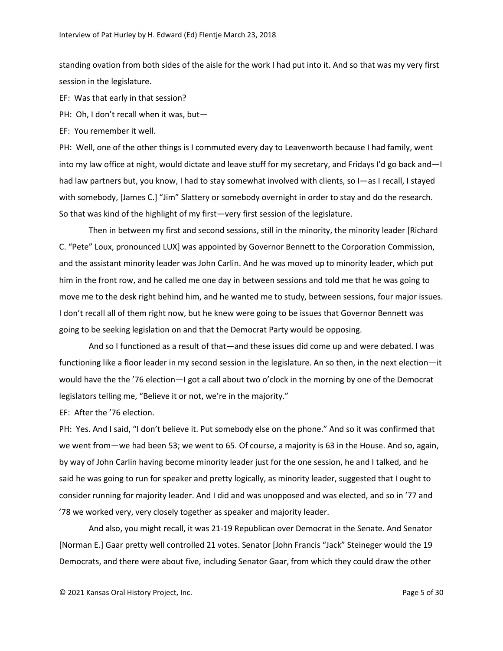standing ovation from both sides of the aisle for the work I had put into it. And so that was my very first session in the legislature.

EF: Was that early in that session?

PH: Oh, I don't recall when it was, but—

EF: You remember it well.

PH: Well, one of the other things is I commuted every day to Leavenworth because I had family, went into my law office at night, would dictate and leave stuff for my secretary, and Fridays I'd go back and—I had law partners but, you know, I had to stay somewhat involved with clients, so I—as I recall, I stayed with somebody, [James C.] "Jim" Slattery or somebody overnight in order to stay and do the research. So that was kind of the highlight of my first—very first session of the legislature.

Then in between my first and second sessions, still in the minority, the minority leader [Richard C. "Pete" Loux, pronounced LUX] was appointed by Governor Bennett to the Corporation Commission, and the assistant minority leader was John Carlin. And he was moved up to minority leader, which put him in the front row, and he called me one day in between sessions and told me that he was going to move me to the desk right behind him, and he wanted me to study, between sessions, four major issues. I don't recall all of them right now, but he knew were going to be issues that Governor Bennett was going to be seeking legislation on and that the Democrat Party would be opposing.

And so I functioned as a result of that—and these issues did come up and were debated. I was functioning like a floor leader in my second session in the legislature. An so then, in the next election—it would have the the '76 election—I got a call about two o'clock in the morning by one of the Democrat legislators telling me, "Believe it or not, we're in the majority."

EF: After the '76 election.

PH: Yes. And I said, "I don't believe it. Put somebody else on the phone." And so it was confirmed that we went from—we had been 53; we went to 65. Of course, a majority is 63 in the House. And so, again, by way of John Carlin having become minority leader just for the one session, he and I talked, and he said he was going to run for speaker and pretty logically, as minority leader, suggested that I ought to consider running for majority leader. And I did and was unopposed and was elected, and so in '77 and '78 we worked very, very closely together as speaker and majority leader.

And also, you might recall, it was 21-19 Republican over Democrat in the Senate. And Senator [Norman E.] Gaar pretty well controlled 21 votes. Senator [John Francis "Jack" Steineger would the 19 Democrats, and there were about five, including Senator Gaar, from which they could draw the other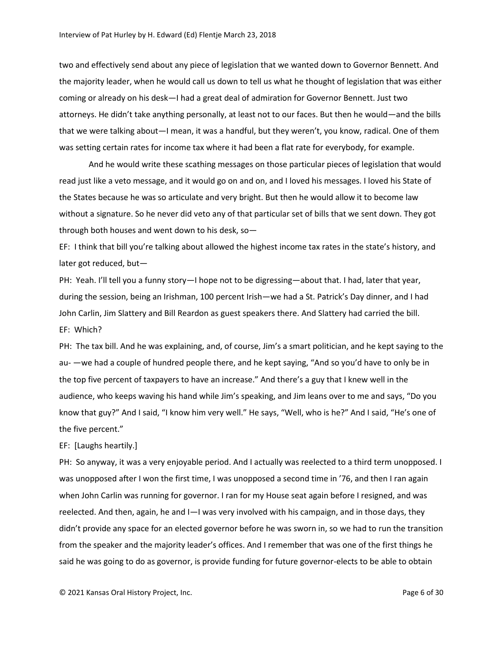two and effectively send about any piece of legislation that we wanted down to Governor Bennett. And the majority leader, when he would call us down to tell us what he thought of legislation that was either coming or already on his desk—I had a great deal of admiration for Governor Bennett. Just two attorneys. He didn't take anything personally, at least not to our faces. But then he would—and the bills that we were talking about—I mean, it was a handful, but they weren't, you know, radical. One of them was setting certain rates for income tax where it had been a flat rate for everybody, for example.

And he would write these scathing messages on those particular pieces of legislation that would read just like a veto message, and it would go on and on, and I loved his messages. I loved his State of the States because he was so articulate and very bright. But then he would allow it to become law without a signature. So he never did veto any of that particular set of bills that we sent down. They got through both houses and went down to his desk, so—

EF: I think that bill you're talking about allowed the highest income tax rates in the state's history, and later got reduced, but—

PH: Yeah. I'll tell you a funny story—I hope not to be digressing—about that. I had, later that year, during the session, being an Irishman, 100 percent Irish—we had a St. Patrick's Day dinner, and I had John Carlin, Jim Slattery and Bill Reardon as guest speakers there. And Slattery had carried the bill. EF: Which?

PH: The tax bill. And he was explaining, and, of course, Jim's a smart politician, and he kept saying to the au- —we had a couple of hundred people there, and he kept saying, "And so you'd have to only be in the top five percent of taxpayers to have an increase." And there's a guy that I knew well in the audience, who keeps waving his hand while Jim's speaking, and Jim leans over to me and says, "Do you know that guy?" And I said, "I know him very well." He says, "Well, who is he?" And I said, "He's one of the five percent."

## EF: [Laughs heartily.]

PH: So anyway, it was a very enjoyable period. And I actually was reelected to a third term unopposed. I was unopposed after I won the first time, I was unopposed a second time in '76, and then I ran again when John Carlin was running for governor. I ran for my House seat again before I resigned, and was reelected. And then, again, he and I—I was very involved with his campaign, and in those days, they didn't provide any space for an elected governor before he was sworn in, so we had to run the transition from the speaker and the majority leader's offices. And I remember that was one of the first things he said he was going to do as governor, is provide funding for future governor-elects to be able to obtain

© 2021 Kansas Oral History Project, Inc. Page 6 of 30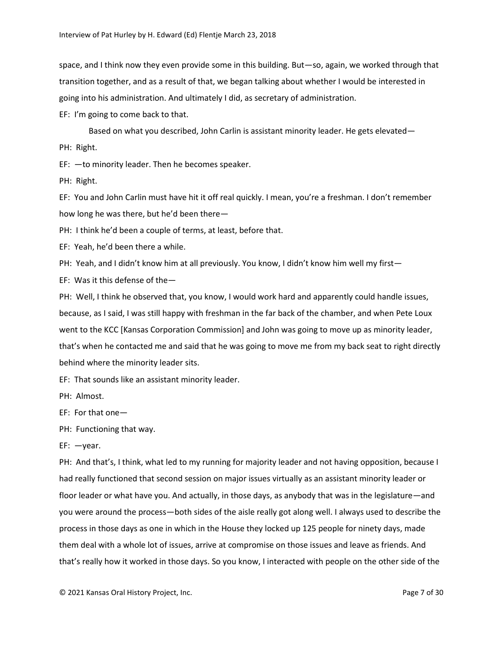space, and I think now they even provide some in this building. But—so, again, we worked through that transition together, and as a result of that, we began talking about whether I would be interested in going into his administration. And ultimately I did, as secretary of administration.

EF: I'm going to come back to that.

Based on what you described, John Carlin is assistant minority leader. He gets elevated— PH: Right.

EF: —to minority leader. Then he becomes speaker.

PH: Right.

EF: You and John Carlin must have hit it off real quickly. I mean, you're a freshman. I don't remember how long he was there, but he'd been there—

PH: I think he'd been a couple of terms, at least, before that.

EF: Yeah, he'd been there a while.

PH: Yeah, and I didn't know him at all previously. You know, I didn't know him well my first—

EF: Was it this defense of the—

PH: Well, I think he observed that, you know, I would work hard and apparently could handle issues, because, as I said, I was still happy with freshman in the far back of the chamber, and when Pete Loux went to the KCC [Kansas Corporation Commission] and John was going to move up as minority leader, that's when he contacted me and said that he was going to move me from my back seat to right directly behind where the minority leader sits.

EF: That sounds like an assistant minority leader.

PH: Almost.

EF: For that one—

PH: Functioning that way.

EF: —year.

PH: And that's, I think, what led to my running for majority leader and not having opposition, because I had really functioned that second session on major issues virtually as an assistant minority leader or floor leader or what have you. And actually, in those days, as anybody that was in the legislature—and you were around the process—both sides of the aisle really got along well. I always used to describe the process in those days as one in which in the House they locked up 125 people for ninety days, made them deal with a whole lot of issues, arrive at compromise on those issues and leave as friends. And that's really how it worked in those days. So you know, I interacted with people on the other side of the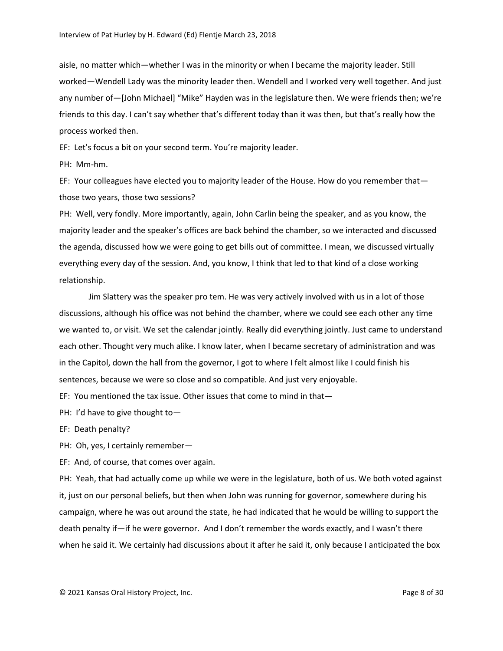aisle, no matter which—whether I was in the minority or when I became the majority leader. Still worked—Wendell Lady was the minority leader then. Wendell and I worked very well together. And just any number of—[John Michael] "Mike" Hayden was in the legislature then. We were friends then; we're friends to this day. I can't say whether that's different today than it was then, but that's really how the process worked then.

EF: Let's focus a bit on your second term. You're majority leader.

PH: Mm-hm.

EF: Your colleagues have elected you to majority leader of the House. How do you remember that those two years, those two sessions?

PH: Well, very fondly. More importantly, again, John Carlin being the speaker, and as you know, the majority leader and the speaker's offices are back behind the chamber, so we interacted and discussed the agenda, discussed how we were going to get bills out of committee. I mean, we discussed virtually everything every day of the session. And, you know, I think that led to that kind of a close working relationship.

Jim Slattery was the speaker pro tem. He was very actively involved with us in a lot of those discussions, although his office was not behind the chamber, where we could see each other any time we wanted to, or visit. We set the calendar jointly. Really did everything jointly. Just came to understand each other. Thought very much alike. I know later, when I became secretary of administration and was in the Capitol, down the hall from the governor, I got to where I felt almost like I could finish his sentences, because we were so close and so compatible. And just very enjoyable.

EF: You mentioned the tax issue. Other issues that come to mind in that—

PH: I'd have to give thought to—

EF: Death penalty?

PH: Oh, yes, I certainly remember—

EF: And, of course, that comes over again.

PH: Yeah, that had actually come up while we were in the legislature, both of us. We both voted against it, just on our personal beliefs, but then when John was running for governor, somewhere during his campaign, where he was out around the state, he had indicated that he would be willing to support the death penalty if—if he were governor. And I don't remember the words exactly, and I wasn't there when he said it. We certainly had discussions about it after he said it, only because I anticipated the box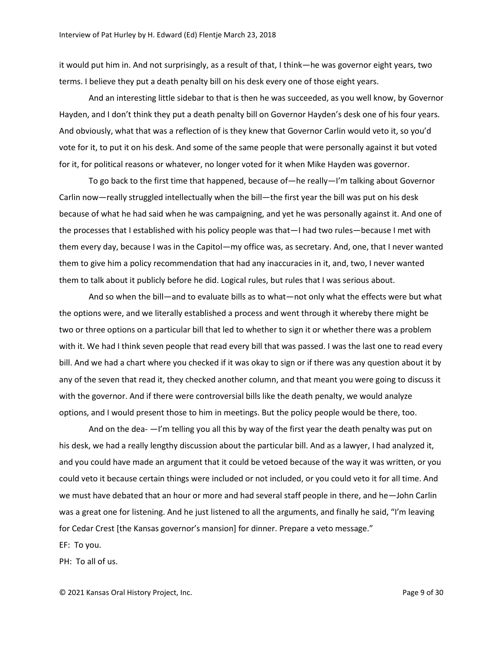it would put him in. And not surprisingly, as a result of that, I think—he was governor eight years, two terms. I believe they put a death penalty bill on his desk every one of those eight years.

And an interesting little sidebar to that is then he was succeeded, as you well know, by Governor Hayden, and I don't think they put a death penalty bill on Governor Hayden's desk one of his four years. And obviously, what that was a reflection of is they knew that Governor Carlin would veto it, so you'd vote for it, to put it on his desk. And some of the same people that were personally against it but voted for it, for political reasons or whatever, no longer voted for it when Mike Hayden was governor.

To go back to the first time that happened, because of—he really—I'm talking about Governor Carlin now—really struggled intellectually when the bill—the first year the bill was put on his desk because of what he had said when he was campaigning, and yet he was personally against it. And one of the processes that I established with his policy people was that—I had two rules—because I met with them every day, because I was in the Capitol—my office was, as secretary. And, one, that I never wanted them to give him a policy recommendation that had any inaccuracies in it, and, two, I never wanted them to talk about it publicly before he did. Logical rules, but rules that I was serious about.

And so when the bill—and to evaluate bills as to what—not only what the effects were but what the options were, and we literally established a process and went through it whereby there might be two or three options on a particular bill that led to whether to sign it or whether there was a problem with it. We had I think seven people that read every bill that was passed. I was the last one to read every bill. And we had a chart where you checked if it was okay to sign or if there was any question about it by any of the seven that read it, they checked another column, and that meant you were going to discuss it with the governor. And if there were controversial bills like the death penalty, we would analyze options, and I would present those to him in meetings. But the policy people would be there, too.

And on the dea-  $-i/m$  telling you all this by way of the first year the death penalty was put on his desk, we had a really lengthy discussion about the particular bill. And as a lawyer, I had analyzed it, and you could have made an argument that it could be vetoed because of the way it was written, or you could veto it because certain things were included or not included, or you could veto it for all time. And we must have debated that an hour or more and had several staff people in there, and he—John Carlin was a great one for listening. And he just listened to all the arguments, and finally he said, "I'm leaving for Cedar Crest [the Kansas governor's mansion] for dinner. Prepare a veto message."

EF: To you.

PH: To all of us.

© 2021 Kansas Oral History Project, Inc. Page 9 of 30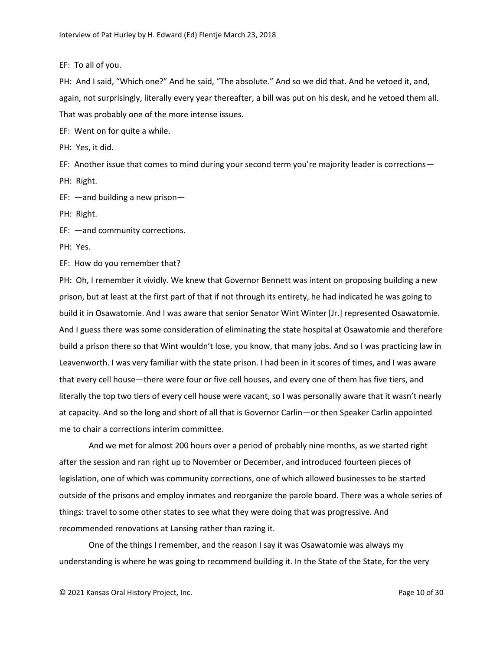EF: To all of you.

PH: And I said, "Which one?" And he said, "The absolute." And so we did that. And he vetoed it, and, again, not surprisingly, literally every year thereafter, a bill was put on his desk, and he vetoed them all. That was probably one of the more intense issues.

EF: Went on for quite a while.

PH: Yes, it did.

EF: Another issue that comes to mind during your second term you're majority leader is corrections— PH: Right.

EF: —and building a new prison—

PH: Right.

EF: —and community corrections.

PH: Yes.

EF: How do you remember that?

PH: Oh, I remember it vividly. We knew that Governor Bennett was intent on proposing building a new prison, but at least at the first part of that if not through its entirety, he had indicated he was going to build it in Osawatomie. And I was aware that senior Senator Wint Winter [Jr.] represented Osawatomie. And I guess there was some consideration of eliminating the state hospital at Osawatomie and therefore build a prison there so that Wint wouldn't lose, you know, that many jobs. And so I was practicing law in Leavenworth. I was very familiar with the state prison. I had been in it scores of times, and I was aware that every cell house—there were four or five cell houses, and every one of them has five tiers, and literally the top two tiers of every cell house were vacant, so I was personally aware that it wasn't nearly at capacity. And so the long and short of all that is Governor Carlin—or then Speaker Carlin appointed me to chair a corrections interim committee.

And we met for almost 200 hours over a period of probably nine months, as we started right after the session and ran right up to November or December, and introduced fourteen pieces of legislation, one of which was community corrections, one of which allowed businesses to be started outside of the prisons and employ inmates and reorganize the parole board. There was a whole series of things: travel to some other states to see what they were doing that was progressive. And recommended renovations at Lansing rather than razing it.

One of the things I remember, and the reason I say it was Osawatomie was always my understanding is where he was going to recommend building it. In the State of the State, for the very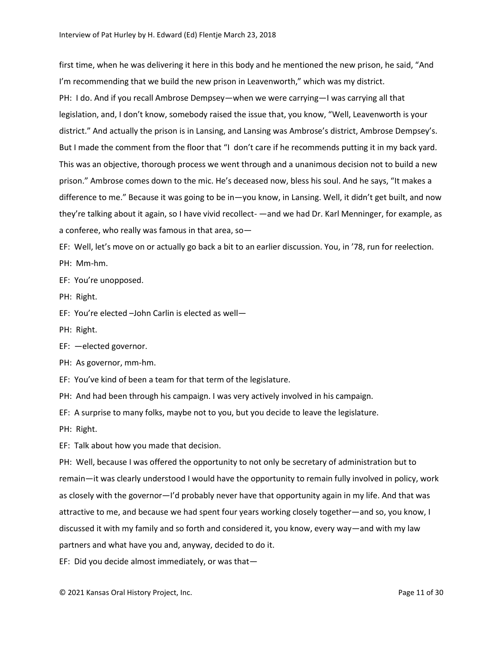first time, when he was delivering it here in this body and he mentioned the new prison, he said, "And I'm recommending that we build the new prison in Leavenworth," which was my district. PH: I do. And if you recall Ambrose Dempsey—when we were carrying—I was carrying all that legislation, and, I don't know, somebody raised the issue that, you know, "Well, Leavenworth is your district." And actually the prison is in Lansing, and Lansing was Ambrose's district, Ambrose Dempsey's. But I made the comment from the floor that "I don't care if he recommends putting it in my back yard. This was an objective, thorough process we went through and a unanimous decision not to build a new prison." Ambrose comes down to the mic. He's deceased now, bless his soul. And he says, "It makes a difference to me." Because it was going to be in—you know, in Lansing. Well, it didn't get built, and now they're talking about it again, so I have vivid recollect- —and we had Dr. Karl Menninger, for example, as a conferee, who really was famous in that area, so—

EF: Well, let's move on or actually go back a bit to an earlier discussion. You, in '78, run for reelection. PH: Mm-hm.

EF: You're unopposed.

PH: Right.

EF: You're elected –John Carlin is elected as well—

PH: Right.

EF: —elected governor.

PH: As governor, mm-hm.

EF: You've kind of been a team for that term of the legislature.

PH: And had been through his campaign. I was very actively involved in his campaign.

EF: A surprise to many folks, maybe not to you, but you decide to leave the legislature.

PH: Right.

EF: Talk about how you made that decision.

PH: Well, because I was offered the opportunity to not only be secretary of administration but to remain—it was clearly understood I would have the opportunity to remain fully involved in policy, work as closely with the governor—I'd probably never have that opportunity again in my life. And that was attractive to me, and because we had spent four years working closely together—and so, you know, I discussed it with my family and so forth and considered it, you know, every way—and with my law partners and what have you and, anyway, decided to do it.

EF: Did you decide almost immediately, or was that—

© 2021 Kansas Oral History Project, Inc. Page 11 of 30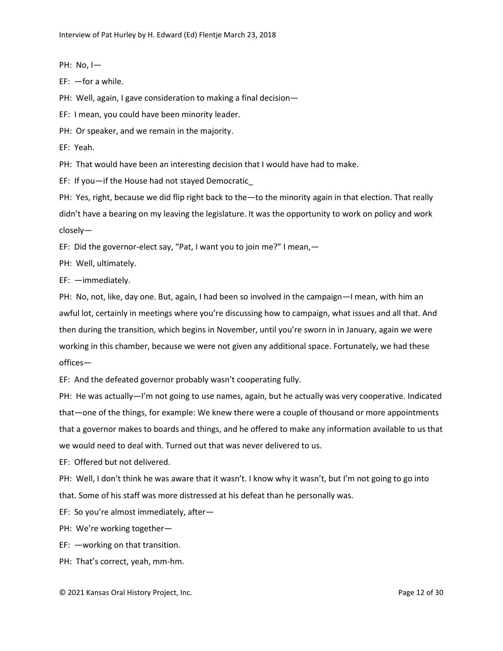PH: No, I—

EF: —for a while.

PH: Well, again, I gave consideration to making a final decision-

EF: I mean, you could have been minority leader.

PH: Or speaker, and we remain in the majority.

EF: Yeah.

PH: That would have been an interesting decision that I would have had to make.

EF: If you—if the House had not stayed Democratic\_

PH: Yes, right, because we did flip right back to the—to the minority again in that election. That really didn't have a bearing on my leaving the legislature. It was the opportunity to work on policy and work closely—

EF: Did the governor-elect say, "Pat, I want you to join me?" I mean,—

PH: Well, ultimately.

EF: —immediately.

PH: No, not, like, day one. But, again, I had been so involved in the campaign—I mean, with him an awful lot, certainly in meetings where you're discussing how to campaign, what issues and all that. And then during the transition, which begins in November, until you're sworn in in January, again we were working in this chamber, because we were not given any additional space. Fortunately, we had these offices—

EF: And the defeated governor probably wasn't cooperating fully.

PH: He was actually—I'm not going to use names, again, but he actually was very cooperative. Indicated that—one of the things, for example: We knew there were a couple of thousand or more appointments that a governor makes to boards and things, and he offered to make any information available to us that we would need to deal with. Turned out that was never delivered to us.

EF: Offered but not delivered.

PH: Well, I don't think he was aware that it wasn't. I know why it wasn't, but I'm not going to go into that. Some of his staff was more distressed at his defeat than he personally was.

EF: So you're almost immediately, after—

PH: We're working together—

EF: —working on that transition.

PH: That's correct, yeah, mm-hm.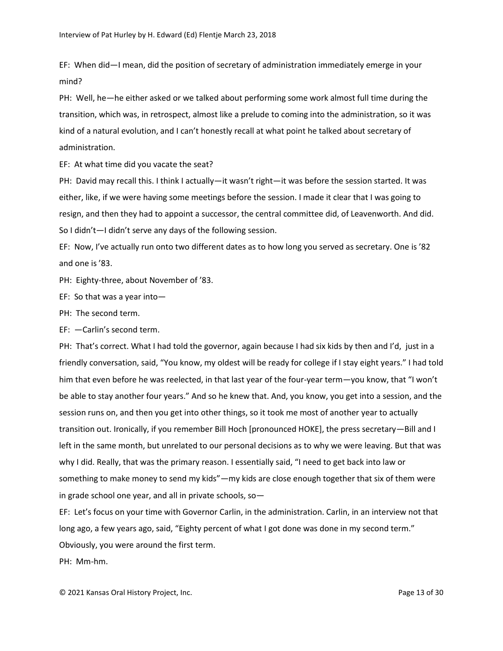EF: When did—I mean, did the position of secretary of administration immediately emerge in your mind?

PH: Well, he—he either asked or we talked about performing some work almost full time during the transition, which was, in retrospect, almost like a prelude to coming into the administration, so it was kind of a natural evolution, and I can't honestly recall at what point he talked about secretary of administration.

EF: At what time did you vacate the seat?

PH: David may recall this. I think I actually—it wasn't right—it was before the session started. It was either, like, if we were having some meetings before the session. I made it clear that I was going to resign, and then they had to appoint a successor, the central committee did, of Leavenworth. And did. So I didn't—I didn't serve any days of the following session.

EF: Now, I've actually run onto two different dates as to how long you served as secretary. One is '82 and one is '83.

PH: Eighty-three, about November of '83.

EF: So that was a year into—

PH: The second term.

EF: —Carlin's second term.

PH: That's correct. What I had told the governor, again because I had six kids by then and I'd, just in a friendly conversation, said, "You know, my oldest will be ready for college if I stay eight years." I had told him that even before he was reelected, in that last year of the four-year term—you know, that "I won't be able to stay another four years." And so he knew that. And, you know, you get into a session, and the session runs on, and then you get into other things, so it took me most of another year to actually transition out. Ironically, if you remember Bill Hoch [pronounced HOKE], the press secretary—Bill and I left in the same month, but unrelated to our personal decisions as to why we were leaving. But that was why I did. Really, that was the primary reason. I essentially said, "I need to get back into law or something to make money to send my kids"—my kids are close enough together that six of them were in grade school one year, and all in private schools, so—

EF: Let's focus on your time with Governor Carlin, in the administration. Carlin, in an interview not that long ago, a few years ago, said, "Eighty percent of what I got done was done in my second term." Obviously, you were around the first term.

PH: Mm-hm.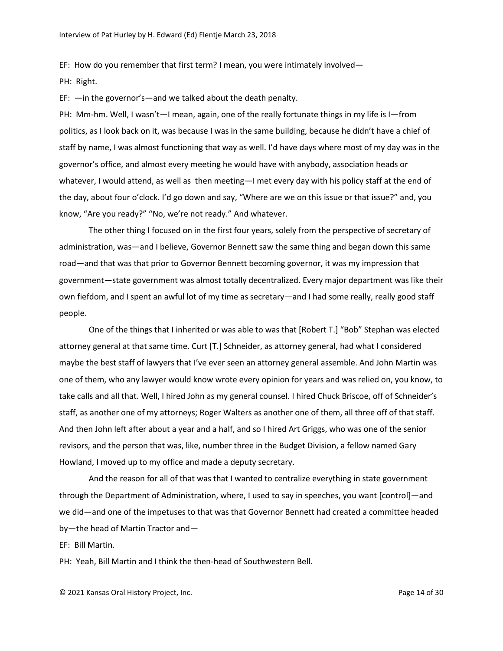EF: How do you remember that first term? I mean, you were intimately involved—

PH: Right.

EF: —in the governor's—and we talked about the death penalty.

PH: Mm-hm. Well, I wasn't—I mean, again, one of the really fortunate things in my life is I—from politics, as I look back on it, was because I was in the same building, because he didn't have a chief of staff by name, I was almost functioning that way as well. I'd have days where most of my day was in the governor's office, and almost every meeting he would have with anybody, association heads or whatever, I would attend, as well as then meeting—I met every day with his policy staff at the end of the day, about four o'clock. I'd go down and say, "Where are we on this issue or that issue?" and, you know, "Are you ready?" "No, we're not ready." And whatever.

The other thing I focused on in the first four years, solely from the perspective of secretary of administration, was—and I believe, Governor Bennett saw the same thing and began down this same road—and that was that prior to Governor Bennett becoming governor, it was my impression that government—state government was almost totally decentralized. Every major department was like their own fiefdom, and I spent an awful lot of my time as secretary—and I had some really, really good staff people.

One of the things that I inherited or was able to was that [Robert T.] "Bob" Stephan was elected attorney general at that same time. Curt [T.] Schneider, as attorney general, had what I considered maybe the best staff of lawyers that I've ever seen an attorney general assemble. And John Martin was one of them, who any lawyer would know wrote every opinion for years and was relied on, you know, to take calls and all that. Well, I hired John as my general counsel. I hired Chuck Briscoe, off of Schneider's staff, as another one of my attorneys; Roger Walters as another one of them, all three off of that staff. And then John left after about a year and a half, and so I hired Art Griggs, who was one of the senior revisors, and the person that was, like, number three in the Budget Division, a fellow named Gary Howland, I moved up to my office and made a deputy secretary.

And the reason for all of that was that I wanted to centralize everything in state government through the Department of Administration, where, I used to say in speeches, you want [control]—and we did—and one of the impetuses to that was that Governor Bennett had created a committee headed by—the head of Martin Tractor and—

EF: Bill Martin.

PH: Yeah, Bill Martin and I think the then-head of Southwestern Bell.

© 2021 Kansas Oral History Project, Inc. Page 14 of 30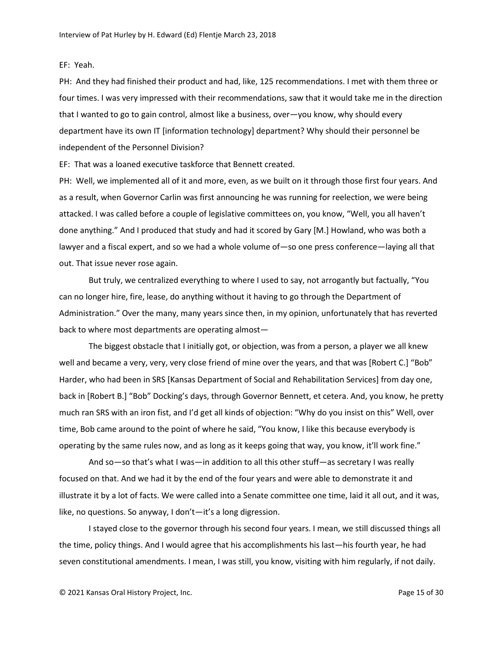# EF: Yeah.

PH: And they had finished their product and had, like, 125 recommendations. I met with them three or four times. I was very impressed with their recommendations, saw that it would take me in the direction that I wanted to go to gain control, almost like a business, over—you know, why should every department have its own IT [information technology] department? Why should their personnel be independent of the Personnel Division?

EF: That was a loaned executive taskforce that Bennett created.

PH: Well, we implemented all of it and more, even, as we built on it through those first four years. And as a result, when Governor Carlin was first announcing he was running for reelection, we were being attacked. I was called before a couple of legislative committees on, you know, "Well, you all haven't done anything." And I produced that study and had it scored by Gary [M.] Howland, who was both a lawyer and a fiscal expert, and so we had a whole volume of—so one press conference—laying all that out. That issue never rose again.

But truly, we centralized everything to where I used to say, not arrogantly but factually, "You can no longer hire, fire, lease, do anything without it having to go through the Department of Administration." Over the many, many years since then, in my opinion, unfortunately that has reverted back to where most departments are operating almost—

The biggest obstacle that I initially got, or objection, was from a person, a player we all knew well and became a very, very, very close friend of mine over the years, and that was [Robert C.] "Bob" Harder, who had been in SRS [Kansas Department of Social and Rehabilitation Services] from day one, back in [Robert B.] "Bob" Docking's days, through Governor Bennett, et cetera. And, you know, he pretty much ran SRS with an iron fist, and I'd get all kinds of objection: "Why do you insist on this" Well, over time, Bob came around to the point of where he said, "You know, I like this because everybody is operating by the same rules now, and as long as it keeps going that way, you know, it'll work fine."

And so—so that's what I was—in addition to all this other stuff—as secretary I was really focused on that. And we had it by the end of the four years and were able to demonstrate it and illustrate it by a lot of facts. We were called into a Senate committee one time, laid it all out, and it was, like, no questions. So anyway, I don't—it's a long digression.

I stayed close to the governor through his second four years. I mean, we still discussed things all the time, policy things. And I would agree that his accomplishments his last—his fourth year, he had seven constitutional amendments. I mean, I was still, you know, visiting with him regularly, if not daily.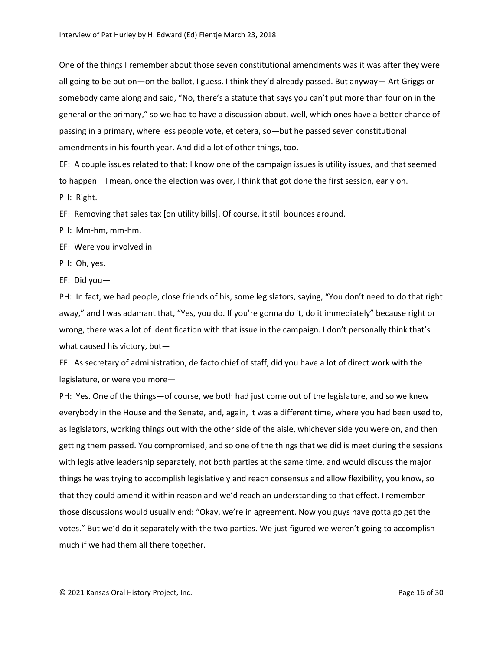One of the things I remember about those seven constitutional amendments was it was after they were all going to be put on—on the ballot, I guess. I think they'd already passed. But anyway— Art Griggs or somebody came along and said, "No, there's a statute that says you can't put more than four on in the general or the primary," so we had to have a discussion about, well, which ones have a better chance of passing in a primary, where less people vote, et cetera, so—but he passed seven constitutional amendments in his fourth year. And did a lot of other things, too.

EF: A couple issues related to that: I know one of the campaign issues is utility issues, and that seemed to happen—I mean, once the election was over, I think that got done the first session, early on. PH: Right.

EF: Removing that sales tax [on utility bills]. Of course, it still bounces around.

PH: Mm-hm, mm-hm.

EF: Were you involved in—

PH: Oh, yes.

EF: Did you—

PH: In fact, we had people, close friends of his, some legislators, saying, "You don't need to do that right away," and I was adamant that, "Yes, you do. If you're gonna do it, do it immediately" because right or wrong, there was a lot of identification with that issue in the campaign. I don't personally think that's what caused his victory, but—

EF: As secretary of administration, de facto chief of staff, did you have a lot of direct work with the legislature, or were you more—

PH: Yes. One of the things—of course, we both had just come out of the legislature, and so we knew everybody in the House and the Senate, and, again, it was a different time, where you had been used to, as legislators, working things out with the other side of the aisle, whichever side you were on, and then getting them passed. You compromised, and so one of the things that we did is meet during the sessions with legislative leadership separately, not both parties at the same time, and would discuss the major things he was trying to accomplish legislatively and reach consensus and allow flexibility, you know, so that they could amend it within reason and we'd reach an understanding to that effect. I remember those discussions would usually end: "Okay, we're in agreement. Now you guys have gotta go get the votes." But we'd do it separately with the two parties. We just figured we weren't going to accomplish much if we had them all there together.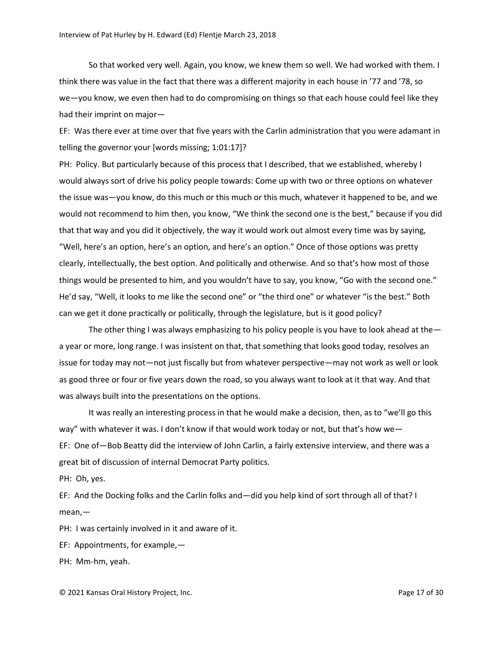So that worked very well. Again, you know, we knew them so well. We had worked with them. I think there was value in the fact that there was a different majority in each house in '77 and '78, so we—you know, we even then had to do compromising on things so that each house could feel like they had their imprint on major—

EF: Was there ever at time over that five years with the Carlin administration that you were adamant in telling the governor your [words missing; 1:01:17]?

PH: Policy. But particularly because of this process that I described, that we established, whereby I would always sort of drive his policy people towards: Come up with two or three options on whatever the issue was—you know, do this much or this much or this much, whatever it happened to be, and we would not recommend to him then, you know, "We think the second one is the best," because if you did that that way and you did it objectively, the way it would work out almost every time was by saying, "Well, here's an option, here's an option, and here's an option." Once of those options was pretty clearly, intellectually, the best option. And politically and otherwise. And so that's how most of those things would be presented to him, and you wouldn't have to say, you know, "Go with the second one." He'd say, "Well, it looks to me like the second one" or "the third one" or whatever "is the best." Both can we get it done practically or politically, through the legislature, but is it good policy?

The other thing I was always emphasizing to his policy people is you have to look ahead at the a year or more, long range. I was insistent on that, that something that looks good today, resolves an issue for today may not—not just fiscally but from whatever perspective—may not work as well or look as good three or four or five years down the road, so you always want to look at it that way. And that was always built into the presentations on the options.

It was really an interesting process in that he would make a decision, then, as to "we'll go this way" with whatever it was. I don't know if that would work today or not, but that's how we-EF: One of—Bob Beatty did the interview of John Carlin, a fairly extensive interview, and there was a great bit of discussion of internal Democrat Party politics.

PH: Oh, yes.

EF: And the Docking folks and the Carlin folks and—did you help kind of sort through all of that? I mean,—

PH: I was certainly involved in it and aware of it.

EF: Appointments, for example,—

PH: Mm-hm, yeah.

© 2021 Kansas Oral History Project, Inc. Page 17 of 30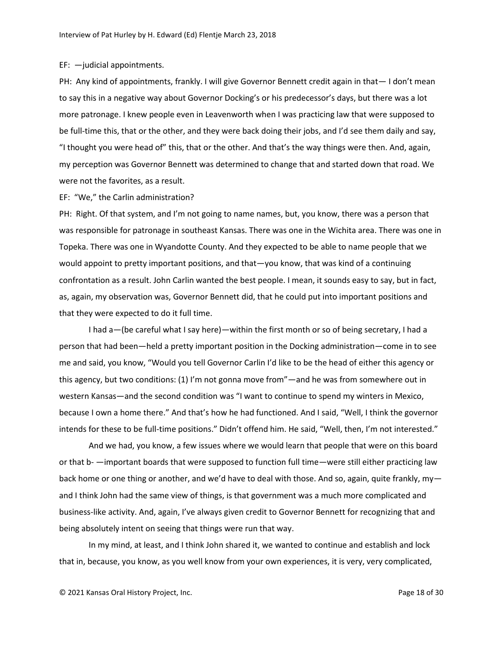## EF: —judicial appointments.

PH: Any kind of appointments, frankly. I will give Governor Bennett credit again in that— I don't mean to say this in a negative way about Governor Docking's or his predecessor's days, but there was a lot more patronage. I knew people even in Leavenworth when I was practicing law that were supposed to be full-time this, that or the other, and they were back doing their jobs, and I'd see them daily and say, "I thought you were head of" this, that or the other. And that's the way things were then. And, again, my perception was Governor Bennett was determined to change that and started down that road. We were not the favorites, as a result.

#### EF: "We," the Carlin administration?

PH: Right. Of that system, and I'm not going to name names, but, you know, there was a person that was responsible for patronage in southeast Kansas. There was one in the Wichita area. There was one in Topeka. There was one in Wyandotte County. And they expected to be able to name people that we would appoint to pretty important positions, and that—you know, that was kind of a continuing confrontation as a result. John Carlin wanted the best people. I mean, it sounds easy to say, but in fact, as, again, my observation was, Governor Bennett did, that he could put into important positions and that they were expected to do it full time.

I had a—(be careful what I say here)—within the first month or so of being secretary, I had a person that had been—held a pretty important position in the Docking administration—come in to see me and said, you know, "Would you tell Governor Carlin I'd like to be the head of either this agency or this agency, but two conditions: (1) I'm not gonna move from"—and he was from somewhere out in western Kansas—and the second condition was "I want to continue to spend my winters in Mexico, because I own a home there." And that's how he had functioned. And I said, "Well, I think the governor intends for these to be full-time positions." Didn't offend him. He said, "Well, then, I'm not interested."

And we had, you know, a few issues where we would learn that people that were on this board or that b- —important boards that were supposed to function full time—were still either practicing law back home or one thing or another, and we'd have to deal with those. And so, again, quite frankly, myand I think John had the same view of things, is that government was a much more complicated and business-like activity. And, again, I've always given credit to Governor Bennett for recognizing that and being absolutely intent on seeing that things were run that way.

In my mind, at least, and I think John shared it, we wanted to continue and establish and lock that in, because, you know, as you well know from your own experiences, it is very, very complicated,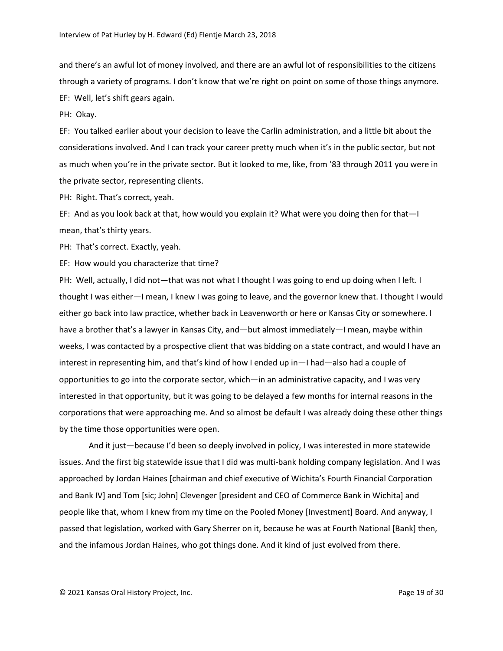and there's an awful lot of money involved, and there are an awful lot of responsibilities to the citizens through a variety of programs. I don't know that we're right on point on some of those things anymore. EF: Well, let's shift gears again.

PH: Okay.

EF: You talked earlier about your decision to leave the Carlin administration, and a little bit about the considerations involved. And I can track your career pretty much when it's in the public sector, but not as much when you're in the private sector. But it looked to me, like, from '83 through 2011 you were in the private sector, representing clients.

PH: Right. That's correct, yeah.

EF: And as you look back at that, how would you explain it? What were you doing then for that—I mean, that's thirty years.

PH: That's correct. Exactly, yeah.

EF: How would you characterize that time?

PH: Well, actually, I did not—that was not what I thought I was going to end up doing when I left. I thought I was either—I mean, I knew I was going to leave, and the governor knew that. I thought I would either go back into law practice, whether back in Leavenworth or here or Kansas City or somewhere. I have a brother that's a lawyer in Kansas City, and—but almost immediately—I mean, maybe within weeks, I was contacted by a prospective client that was bidding on a state contract, and would I have an interest in representing him, and that's kind of how I ended up in—I had—also had a couple of opportunities to go into the corporate sector, which—in an administrative capacity, and I was very interested in that opportunity, but it was going to be delayed a few months for internal reasons in the corporations that were approaching me. And so almost be default I was already doing these other things by the time those opportunities were open.

And it just—because I'd been so deeply involved in policy, I was interested in more statewide issues. And the first big statewide issue that I did was multi-bank holding company legislation. And I was approached by Jordan Haines [chairman and chief executive of Wichita's Fourth Financial Corporation and Bank IV] and Tom [sic; John] Clevenger [president and CEO of Commerce Bank in Wichita] and people like that, whom I knew from my time on the Pooled Money [Investment] Board. And anyway, I passed that legislation, worked with Gary Sherrer on it, because he was at Fourth National [Bank] then, and the infamous Jordan Haines, who got things done. And it kind of just evolved from there.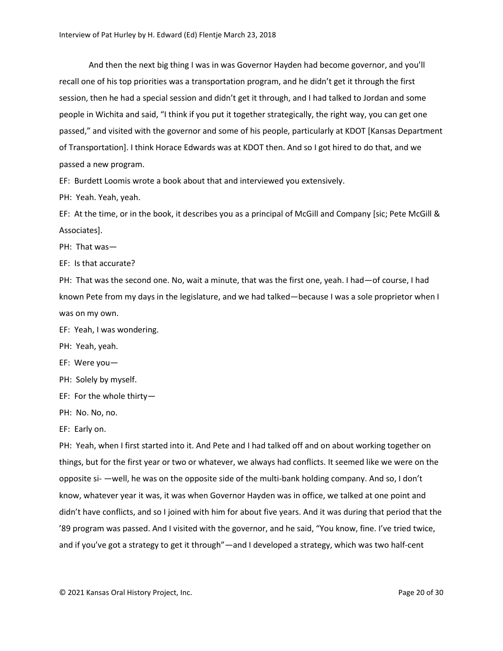And then the next big thing I was in was Governor Hayden had become governor, and you'll recall one of his top priorities was a transportation program, and he didn't get it through the first session, then he had a special session and didn't get it through, and I had talked to Jordan and some people in Wichita and said, "I think if you put it together strategically, the right way, you can get one passed," and visited with the governor and some of his people, particularly at KDOT [Kansas Department of Transportation]. I think Horace Edwards was at KDOT then. And so I got hired to do that, and we passed a new program.

EF: Burdett Loomis wrote a book about that and interviewed you extensively.

PH: Yeah. Yeah, yeah.

EF: At the time, or in the book, it describes you as a principal of McGill and Company [sic; Pete McGill & Associates].

PH: That was—

EF: Is that accurate?

PH: That was the second one. No, wait a minute, that was the first one, yeah. I had—of course, I had known Pete from my days in the legislature, and we had talked—because I was a sole proprietor when I was on my own.

EF: Yeah, I was wondering.

PH: Yeah, yeah.

EF: Were you—

PH: Solely by myself.

EF: For the whole thirty—

PH: No. No, no.

EF: Early on.

PH: Yeah, when I first started into it. And Pete and I had talked off and on about working together on things, but for the first year or two or whatever, we always had conflicts. It seemed like we were on the opposite si- —well, he was on the opposite side of the multi-bank holding company. And so, I don't know, whatever year it was, it was when Governor Hayden was in office, we talked at one point and didn't have conflicts, and so I joined with him for about five years. And it was during that period that the '89 program was passed. And I visited with the governor, and he said, "You know, fine. I've tried twice, and if you've got a strategy to get it through"—and I developed a strategy, which was two half-cent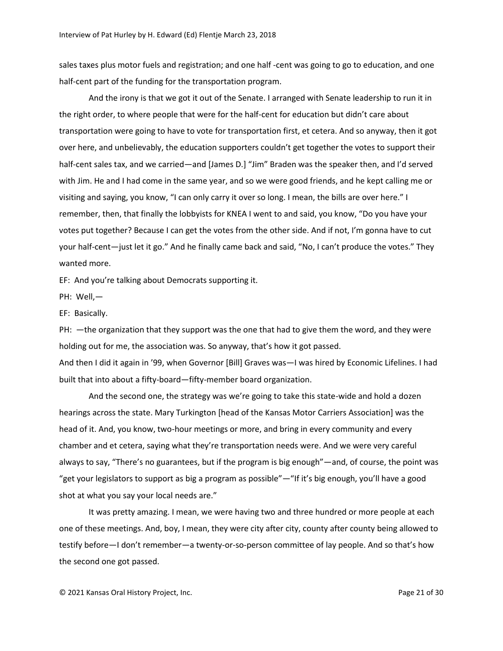sales taxes plus motor fuels and registration; and one half -cent was going to go to education, and one half-cent part of the funding for the transportation program.

And the irony is that we got it out of the Senate. I arranged with Senate leadership to run it in the right order, to where people that were for the half-cent for education but didn't care about transportation were going to have to vote for transportation first, et cetera. And so anyway, then it got over here, and unbelievably, the education supporters couldn't get together the votes to support their half-cent sales tax, and we carried—and [James D.] "Jim" Braden was the speaker then, and I'd served with Jim. He and I had come in the same year, and so we were good friends, and he kept calling me or visiting and saying, you know, "I can only carry it over so long. I mean, the bills are over here." I remember, then, that finally the lobbyists for KNEA I went to and said, you know, "Do you have your votes put together? Because I can get the votes from the other side. And if not, I'm gonna have to cut your half-cent—just let it go." And he finally came back and said, "No, I can't produce the votes." They wanted more.

EF: And you're talking about Democrats supporting it.

PH: Well,—

EF: Basically.

PH: —the organization that they support was the one that had to give them the word, and they were holding out for me, the association was. So anyway, that's how it got passed.

And then I did it again in '99, when Governor [Bill] Graves was—I was hired by Economic Lifelines. I had built that into about a fifty-board—fifty-member board organization.

And the second one, the strategy was we're going to take this state-wide and hold a dozen hearings across the state. Mary Turkington [head of the Kansas Motor Carriers Association] was the head of it. And, you know, two-hour meetings or more, and bring in every community and every chamber and et cetera, saying what they're transportation needs were. And we were very careful always to say, "There's no guarantees, but if the program is big enough"—and, of course, the point was "get your legislators to support as big a program as possible"—"If it's big enough, you'll have a good shot at what you say your local needs are."

It was pretty amazing. I mean, we were having two and three hundred or more people at each one of these meetings. And, boy, I mean, they were city after city, county after county being allowed to testify before—I don't remember—a twenty-or-so-person committee of lay people. And so that's how the second one got passed.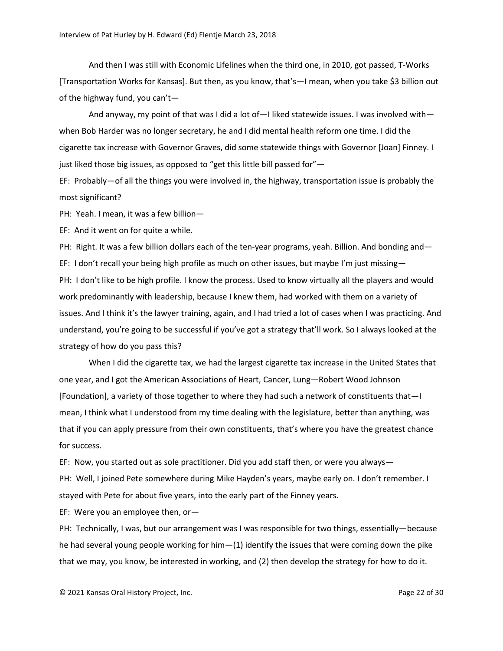And then I was still with Economic Lifelines when the third one, in 2010, got passed, T-Works [Transportation Works for Kansas]. But then, as you know, that's—I mean, when you take \$3 billion out of the highway fund, you can't—

And anyway, my point of that was I did a lot of—I liked statewide issues. I was involved with when Bob Harder was no longer secretary, he and I did mental health reform one time. I did the cigarette tax increase with Governor Graves, did some statewide things with Governor [Joan] Finney. I just liked those big issues, as opposed to "get this little bill passed for"—

EF: Probably—of all the things you were involved in, the highway, transportation issue is probably the most significant?

PH: Yeah. I mean, it was a few billion—

EF: And it went on for quite a while.

PH: Right. It was a few billion dollars each of the ten-year programs, yeah. Billion. And bonding and— EF: I don't recall your being high profile as much on other issues, but maybe I'm just missing-PH: I don't like to be high profile. I know the process. Used to know virtually all the players and would work predominantly with leadership, because I knew them, had worked with them on a variety of issues. And I think it's the lawyer training, again, and I had tried a lot of cases when I was practicing. And understand, you're going to be successful if you've got a strategy that'll work. So I always looked at the strategy of how do you pass this?

When I did the cigarette tax, we had the largest cigarette tax increase in the United States that one year, and I got the American Associations of Heart, Cancer, Lung—Robert Wood Johnson [Foundation], a variety of those together to where they had such a network of constituents that—I mean, I think what I understood from my time dealing with the legislature, better than anything, was that if you can apply pressure from their own constituents, that's where you have the greatest chance for success.

EF: Now, you started out as sole practitioner. Did you add staff then, or were you always— PH: Well, I joined Pete somewhere during Mike Hayden's years, maybe early on. I don't remember. I stayed with Pete for about five years, into the early part of the Finney years.

EF: Were you an employee then, or—

PH: Technically, I was, but our arrangement was I was responsible for two things, essentially—because he had several young people working for him—(1) identify the issues that were coming down the pike that we may, you know, be interested in working, and (2) then develop the strategy for how to do it.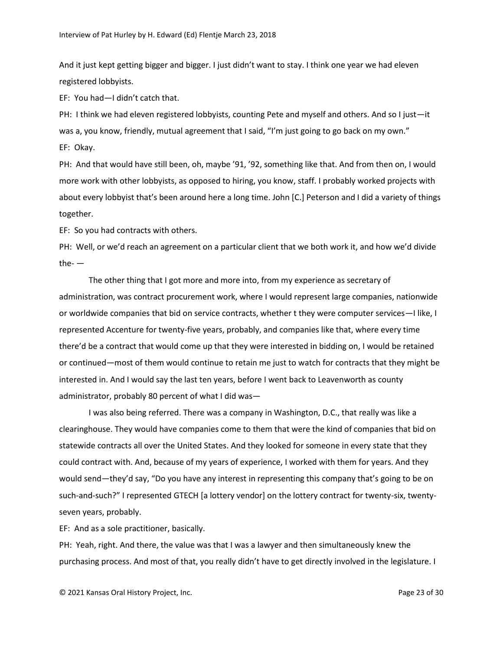And it just kept getting bigger and bigger. I just didn't want to stay. I think one year we had eleven registered lobbyists.

EF: You had—I didn't catch that.

PH: I think we had eleven registered lobbyists, counting Pete and myself and others. And so I just—it was a, you know, friendly, mutual agreement that I said, "I'm just going to go back on my own." EF: Okay.

PH: And that would have still been, oh, maybe '91, '92, something like that. And from then on, I would more work with other lobbyists, as opposed to hiring, you know, staff. I probably worked projects with about every lobbyist that's been around here a long time. John [C.] Peterson and I did a variety of things together.

EF: So you had contracts with others.

PH: Well, or we'd reach an agreement on a particular client that we both work it, and how we'd divide the- $-$ 

The other thing that I got more and more into, from my experience as secretary of administration, was contract procurement work, where I would represent large companies, nationwide or worldwide companies that bid on service contracts, whether t they were computer services—I like, I represented Accenture for twenty-five years, probably, and companies like that, where every time there'd be a contract that would come up that they were interested in bidding on, I would be retained or continued—most of them would continue to retain me just to watch for contracts that they might be interested in. And I would say the last ten years, before I went back to Leavenworth as county administrator, probably 80 percent of what I did was—

I was also being referred. There was a company in Washington, D.C., that really was like a clearinghouse. They would have companies come to them that were the kind of companies that bid on statewide contracts all over the United States. And they looked for someone in every state that they could contract with. And, because of my years of experience, I worked with them for years. And they would send—they'd say, "Do you have any interest in representing this company that's going to be on such-and-such?" I represented GTECH [a lottery vendor] on the lottery contract for twenty-six, twentyseven years, probably.

EF: And as a sole practitioner, basically.

PH: Yeah, right. And there, the value was that I was a lawyer and then simultaneously knew the purchasing process. And most of that, you really didn't have to get directly involved in the legislature. I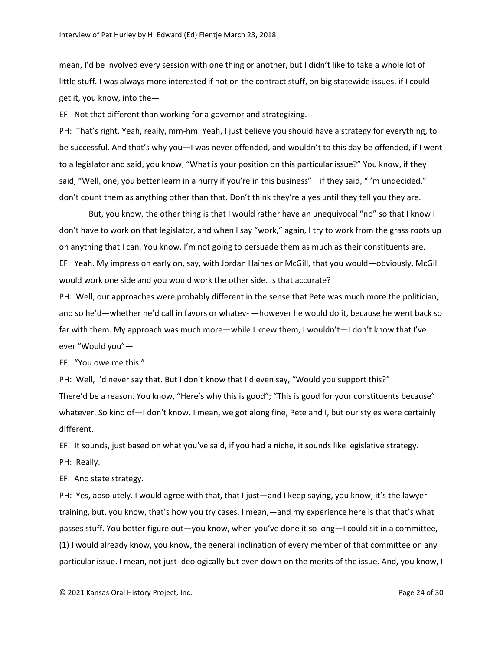mean, I'd be involved every session with one thing or another, but I didn't like to take a whole lot of little stuff. I was always more interested if not on the contract stuff, on big statewide issues, if I could get it, you know, into the—

EF: Not that different than working for a governor and strategizing.

PH: That's right. Yeah, really, mm-hm. Yeah, I just believe you should have a strategy for everything, to be successful. And that's why you—I was never offended, and wouldn't to this day be offended, if I went to a legislator and said, you know, "What is your position on this particular issue?" You know, if they said, "Well, one, you better learn in a hurry if you're in this business"—if they said, "I'm undecided," don't count them as anything other than that. Don't think they're a yes until they tell you they are.

But, you know, the other thing is that I would rather have an unequivocal "no" so that I know I don't have to work on that legislator, and when I say "work," again, I try to work from the grass roots up on anything that I can. You know, I'm not going to persuade them as much as their constituents are. EF: Yeah. My impression early on, say, with Jordan Haines or McGill, that you would—obviously, McGill would work one side and you would work the other side. Is that accurate?

PH: Well, our approaches were probably different in the sense that Pete was much more the politician, and so he'd—whether he'd call in favors or whatev- —however he would do it, because he went back so far with them. My approach was much more—while I knew them, I wouldn't—I don't know that I've ever "Would you"—

EF: "You owe me this."

PH: Well, I'd never say that. But I don't know that I'd even say, "Would you support this?" There'd be a reason. You know, "Here's why this is good"; "This is good for your constituents because" whatever. So kind of—I don't know. I mean, we got along fine, Pete and I, but our styles were certainly different.

EF: It sounds, just based on what you've said, if you had a niche, it sounds like legislative strategy. PH: Really.

EF: And state strategy.

PH: Yes, absolutely. I would agree with that, that I just—and I keep saying, you know, it's the lawyer training, but, you know, that's how you try cases. I mean,—and my experience here is that that's what passes stuff. You better figure out—you know, when you've done it so long—I could sit in a committee, (1) I would already know, you know, the general inclination of every member of that committee on any particular issue. I mean, not just ideologically but even down on the merits of the issue. And, you know, I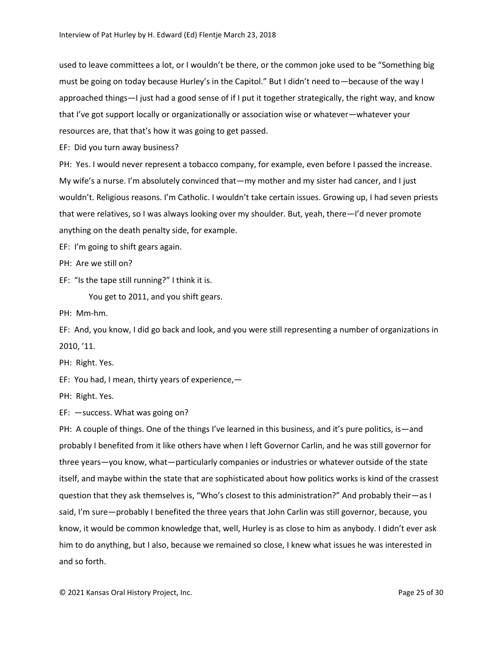used to leave committees a lot, or I wouldn't be there, or the common joke used to be "Something big must be going on today because Hurley's in the Capitol." But I didn't need to—because of the way I approached things—I just had a good sense of if I put it together strategically, the right way, and know that I've got support locally or organizationally or association wise or whatever—whatever your resources are, that that's how it was going to get passed.

EF: Did you turn away business?

PH: Yes. I would never represent a tobacco company, for example, even before I passed the increase. My wife's a nurse. I'm absolutely convinced that—my mother and my sister had cancer, and I just wouldn't. Religious reasons. I'm Catholic. I wouldn't take certain issues. Growing up, I had seven priests that were relatives, so I was always looking over my shoulder. But, yeah, there—I'd never promote anything on the death penalty side, for example.

EF: I'm going to shift gears again.

PH: Are we still on?

EF: "Is the tape still running?" I think it is.

You get to 2011, and you shift gears.

PH: Mm-hm.

EF: And, you know, I did go back and look, and you were still representing a number of organizations in 2010, '11.

PH: Right. Yes.

EF: You had, I mean, thirty years of experience,—

PH: Right. Yes.

EF: —success. What was going on?

PH: A couple of things. One of the things I've learned in this business, and it's pure politics, is—and probably I benefited from it like others have when I left Governor Carlin, and he was still governor for three years—you know, what—particularly companies or industries or whatever outside of the state itself, and maybe within the state that are sophisticated about how politics works is kind of the crassest question that they ask themselves is, "Who's closest to this administration?" And probably their—as I said, I'm sure—probably I benefited the three years that John Carlin was still governor, because, you know, it would be common knowledge that, well, Hurley is as close to him as anybody. I didn't ever ask him to do anything, but I also, because we remained so close, I knew what issues he was interested in and so forth.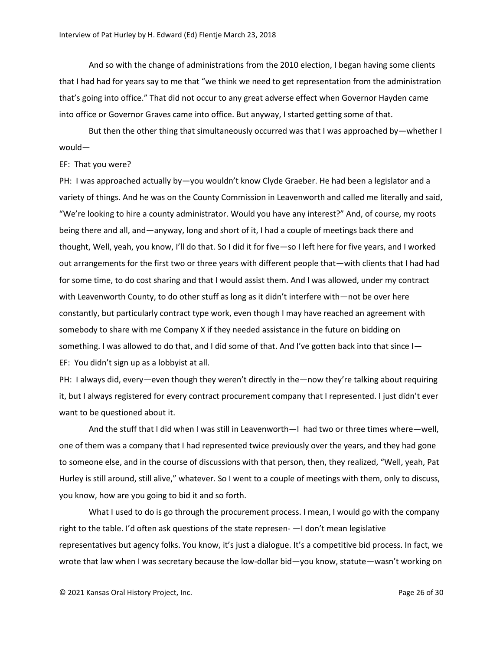And so with the change of administrations from the 2010 election, I began having some clients that I had had for years say to me that "we think we need to get representation from the administration that's going into office." That did not occur to any great adverse effect when Governor Hayden came into office or Governor Graves came into office. But anyway, I started getting some of that.

But then the other thing that simultaneously occurred was that I was approached by—whether I would—

## EF: That you were?

PH: I was approached actually by—you wouldn't know Clyde Graeber. He had been a legislator and a variety of things. And he was on the County Commission in Leavenworth and called me literally and said, "We're looking to hire a county administrator. Would you have any interest?" And, of course, my roots being there and all, and—anyway, long and short of it, I had a couple of meetings back there and thought, Well, yeah, you know, I'll do that. So I did it for five—so I left here for five years, and I worked out arrangements for the first two or three years with different people that—with clients that I had had for some time, to do cost sharing and that I would assist them. And I was allowed, under my contract with Leavenworth County, to do other stuff as long as it didn't interfere with—not be over here constantly, but particularly contract type work, even though I may have reached an agreement with somebody to share with me Company X if they needed assistance in the future on bidding on something. I was allowed to do that, and I did some of that. And I've gotten back into that since I EF: You didn't sign up as a lobbyist at all.

PH: I always did, every—even though they weren't directly in the—now they're talking about requiring it, but I always registered for every contract procurement company that I represented. I just didn't ever want to be questioned about it.

And the stuff that I did when I was still in Leavenworth—I had two or three times where—well, one of them was a company that I had represented twice previously over the years, and they had gone to someone else, and in the course of discussions with that person, then, they realized, "Well, yeah, Pat Hurley is still around, still alive," whatever. So I went to a couple of meetings with them, only to discuss, you know, how are you going to bid it and so forth.

What I used to do is go through the procurement process. I mean, I would go with the company right to the table. I'd often ask questions of the state represen- —I don't mean legislative representatives but agency folks. You know, it's just a dialogue. It's a competitive bid process. In fact, we wrote that law when I was secretary because the low-dollar bid—you know, statute—wasn't working on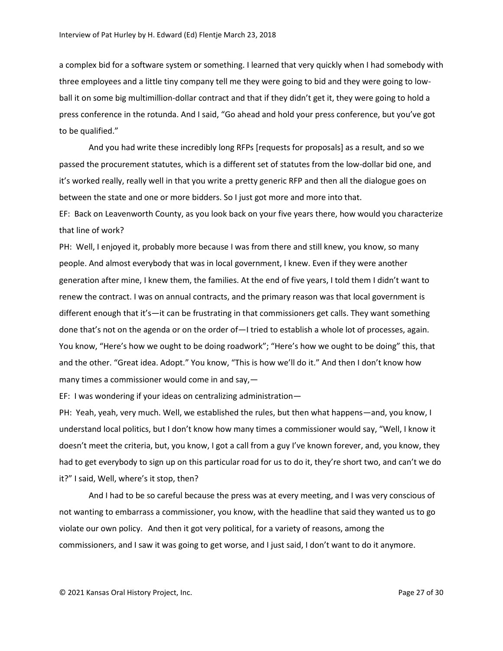a complex bid for a software system or something. I learned that very quickly when I had somebody with three employees and a little tiny company tell me they were going to bid and they were going to lowball it on some big multimillion-dollar contract and that if they didn't get it, they were going to hold a press conference in the rotunda. And I said, "Go ahead and hold your press conference, but you've got to be qualified."

And you had write these incredibly long RFPs [requests for proposals] as a result, and so we passed the procurement statutes, which is a different set of statutes from the low-dollar bid one, and it's worked really, really well in that you write a pretty generic RFP and then all the dialogue goes on between the state and one or more bidders. So I just got more and more into that.

EF: Back on Leavenworth County, as you look back on your five years there, how would you characterize that line of work?

PH: Well, I enjoyed it, probably more because I was from there and still knew, you know, so many people. And almost everybody that was in local government, I knew. Even if they were another generation after mine, I knew them, the families. At the end of five years, I told them I didn't want to renew the contract. I was on annual contracts, and the primary reason was that local government is different enough that it's—it can be frustrating in that commissioners get calls. They want something done that's not on the agenda or on the order of—I tried to establish a whole lot of processes, again. You know, "Here's how we ought to be doing roadwork"; "Here's how we ought to be doing" this, that and the other. "Great idea. Adopt." You know, "This is how we'll do it." And then I don't know how many times a commissioner would come in and say,—

EF: I was wondering if your ideas on centralizing administration—

PH: Yeah, yeah, very much. Well, we established the rules, but then what happens—and, you know, I understand local politics, but I don't know how many times a commissioner would say, "Well, I know it doesn't meet the criteria, but, you know, I got a call from a guy I've known forever, and, you know, they had to get everybody to sign up on this particular road for us to do it, they're short two, and can't we do it?" I said, Well, where's it stop, then?

And I had to be so careful because the press was at every meeting, and I was very conscious of not wanting to embarrass a commissioner, you know, with the headline that said they wanted us to go violate our own policy. And then it got very political, for a variety of reasons, among the commissioners, and I saw it was going to get worse, and I just said, I don't want to do it anymore.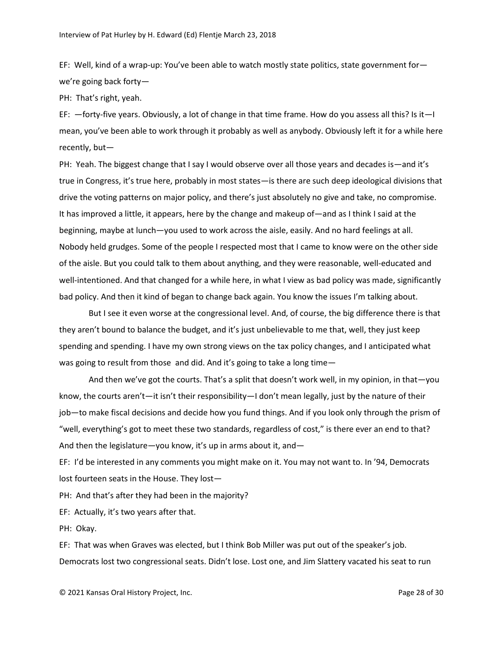EF: Well, kind of a wrap-up: You've been able to watch mostly state politics, state government for we're going back forty—

PH: That's right, yeah.

EF: —forty-five years. Obviously, a lot of change in that time frame. How do you assess all this? Is it—I mean, you've been able to work through it probably as well as anybody. Obviously left it for a while here recently, but—

PH: Yeah. The biggest change that I say I would observe over all those years and decades is—and it's true in Congress, it's true here, probably in most states—is there are such deep ideological divisions that drive the voting patterns on major policy, and there's just absolutely no give and take, no compromise. It has improved a little, it appears, here by the change and makeup of—and as I think I said at the beginning, maybe at lunch—you used to work across the aisle, easily. And no hard feelings at all. Nobody held grudges. Some of the people I respected most that I came to know were on the other side of the aisle. But you could talk to them about anything, and they were reasonable, well-educated and well-intentioned. And that changed for a while here, in what I view as bad policy was made, significantly bad policy. And then it kind of began to change back again. You know the issues I'm talking about.

But I see it even worse at the congressional level. And, of course, the big difference there is that they aren't bound to balance the budget, and it's just unbelievable to me that, well, they just keep spending and spending. I have my own strong views on the tax policy changes, and I anticipated what was going to result from those and did. And it's going to take a long time—

And then we've got the courts. That's a split that doesn't work well, in my opinion, in that—you know, the courts aren't—it isn't their responsibility—I don't mean legally, just by the nature of their job—to make fiscal decisions and decide how you fund things. And if you look only through the prism of "well, everything's got to meet these two standards, regardless of cost," is there ever an end to that? And then the legislature—you know, it's up in arms about it, and—

EF: I'd be interested in any comments you might make on it. You may not want to. In '94, Democrats lost fourteen seats in the House. They lost—

PH: And that's after they had been in the majority?

EF: Actually, it's two years after that.

PH: Okay.

EF: That was when Graves was elected, but I think Bob Miller was put out of the speaker's job. Democrats lost two congressional seats. Didn't lose. Lost one, and Jim Slattery vacated his seat to run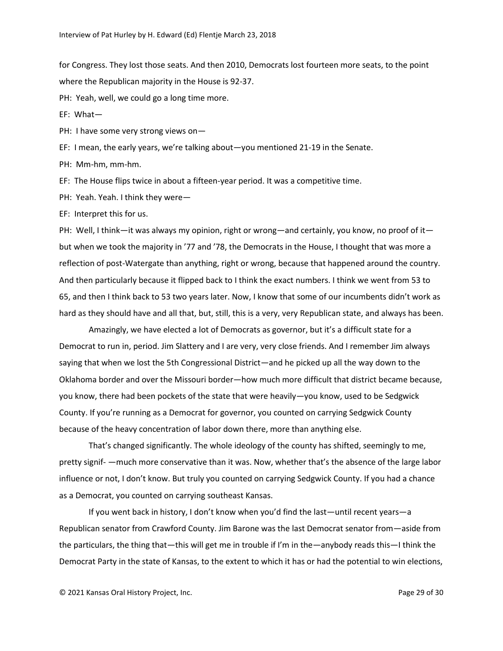for Congress. They lost those seats. And then 2010, Democrats lost fourteen more seats, to the point where the Republican majority in the House is 92-37.

PH: Yeah, well, we could go a long time more.

EF: What—

PH: I have some very strong views on-

EF: I mean, the early years, we're talking about—you mentioned 21-19 in the Senate.

PH: Mm-hm, mm-hm.

EF: The House flips twice in about a fifteen-year period. It was a competitive time.

PH: Yeah. Yeah. I think they were—

EF: Interpret this for us.

PH: Well, I think—it was always my opinion, right or wrong—and certainly, you know, no proof of it but when we took the majority in '77 and '78, the Democrats in the House, I thought that was more a reflection of post-Watergate than anything, right or wrong, because that happened around the country. And then particularly because it flipped back to I think the exact numbers. I think we went from 53 to 65, and then I think back to 53 two years later. Now, I know that some of our incumbents didn't work as hard as they should have and all that, but, still, this is a very, very Republican state, and always has been.

Amazingly, we have elected a lot of Democrats as governor, but it's a difficult state for a Democrat to run in, period. Jim Slattery and I are very, very close friends. And I remember Jim always saying that when we lost the 5th Congressional District—and he picked up all the way down to the Oklahoma border and over the Missouri border—how much more difficult that district became because, you know, there had been pockets of the state that were heavily—you know, used to be Sedgwick County. If you're running as a Democrat for governor, you counted on carrying Sedgwick County because of the heavy concentration of labor down there, more than anything else.

That's changed significantly. The whole ideology of the county has shifted, seemingly to me, pretty signif- —much more conservative than it was. Now, whether that's the absence of the large labor influence or not, I don't know. But truly you counted on carrying Sedgwick County. If you had a chance as a Democrat, you counted on carrying southeast Kansas.

If you went back in history, I don't know when you'd find the last—until recent years—a Republican senator from Crawford County. Jim Barone was the last Democrat senator from—aside from the particulars, the thing that—this will get me in trouble if I'm in the—anybody reads this—I think the Democrat Party in the state of Kansas, to the extent to which it has or had the potential to win elections,